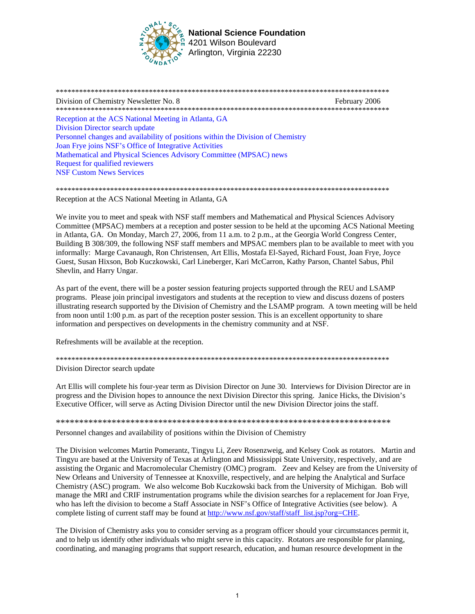

**National Science Foundation** 4201 Wilson Boulevard Arlington, Virginia 22230

| Division of Chemistry Newsletter No. 8                                                                                       | February 2006 |
|------------------------------------------------------------------------------------------------------------------------------|---------------|
| Reception at the ACS National Meeting in Atlanta, GA<br><b>Division Director search update</b>                               |               |
| Personnel changes and availability of positions within the Division of Chemistry                                             |               |
| Joan Frye joins NSF's Office of Integrative Activities<br>Mathematical and Physical Sciences Advisory Committee (MPSAC) news |               |
| Request for qualified reviewers<br><b>NSF Custom News Services</b>                                                           |               |
|                                                                                                                              |               |

Reception at the ACS National Meeting in Atlanta, GA

We invite you to meet and speak with NSF staff members and Mathematical and Physical Sciences Advisory Committee (MPSAC) members at a reception and poster session to be held at the upcoming ACS National Meeting in Atlanta, GA. On Monday, March 27, 2006, from 11 a.m. to 2 p.m., at the Georgia World Congress Center, Building B 308/309, the following NSF staff members and MPSAC members plan to be available to meet with you informally: Marge Cavanaugh, Ron Christensen, Art Ellis, Mostafa El-Sayed, Richard Foust, Joan Frye, Joyce Guest, Susan Hixson, Bob Kuczkowski, Carl Lineberger, Kari McCarron, Kathy Parson, Chantel Sabus, Phil Shevlin, and Harry Ungar.

As part of the event, there will be a poster session featuring projects supported through the REU and LSAMP programs. Please join principal investigators and students at the reception to view and discuss dozens of posters illustrating research supported by the Division of Chemistry and the LSAMP program. A town meeting will be held from noon until 1:00 p.m. as part of the reception poster session. This is an excellent opportunity to share information and perspectives on developments in the chemistry community and at NSF.

Refreshments will be available at the reception.

\*\*\*\*\*\*\*\*\*\*\*\*\*\*\*\*\*\*\*\*\*\*\*\*\*\*\*\*\*\*\*\*\*\*\*\*\*\*\*\*\*\*\*\*\*\*\*\*\*\*\*\*\*\*\*\*\*\*\*\*\*\*\*\*\*\*\*\*\*\*\*\*\*\*\*\*\*\*\*\*\*\*\*\*\*\*

Division Director search update

Art Ellis will complete his four-year term as Division Director on June 30. Interviews for Division Director are in progress and the Division hopes to announce the next Division Director this spring. Janice Hicks, the Division's Executive Officer, will serve as Acting Division Director until the new Division Director joins the staff.

\*\*\*\*\*\*\*\*\*\*\*\*\*\*\*\*\*\*\*\*\*\*\*\*\*\*\*\*\*\*\*\*\*\*\*\*\*\*\*\*\*\*\*\*\*\*\*\*\*\*\*\*\*\*\*\*\*\*\*\*\*\*\*\*\*\*\*\*\*\*\*\*

Personnel changes and availability of positions within the Division of Chemistry

The Division welcomes Martin Pomerantz, Tingyu Li, Zeev Rosenzweig, and Kelsey Cook as rotators. Martin and Tingyu are based at the University of Texas at Arlington and Mississippi State University, respectively, and are assisting the Organic and Macromolecular Chemistry (OMC) program. Zeev and Kelsey are from the University of New Orleans and University of Tennessee at Knoxville, respectively, and are helping the Analytical and Surface Chemistry (ASC) program. We also welcome Bob Kuczkowski back from the University of Michigan. Bob will manage the MRI and CRIF instrumentation programs while the division searches for a replacement for Joan Frye, who has left the division to become a Staff Associate in NSF's Office of Integrative Activities (see below). A complete listing of current staff may be found at http://www.nsf.gov/staff/staff\_list.jsp?org=CHE.

The Division of Chemistry asks you to consider serving as a program officer should your circumstances permit it, and to help us identify other individuals who might serve in this capacity. Rotators are responsible for planning, coordinating, and managing programs that support research, education, and human resource development in the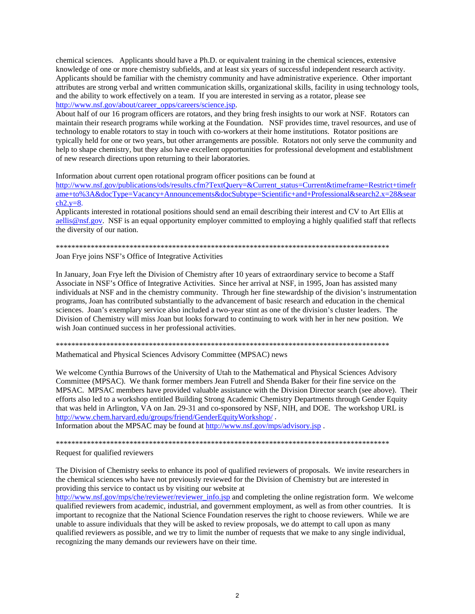<span id="page-1-0"></span>chemical sciences. Applicants should have a Ph.D. or equivalent training in the chemical sciences, extensive knowledge of one or more chemistry subfields, and at least six years of successful independent research activity. Applicants should be familiar with the chemistry community and have administrative experience. Other important attributes are strong verbal and written communication skills, organizational skills, facility in using technology tools, and the ability to work effectively on a team. If you are interested in serving as a rotator, please see http://www.nsf.gov/about/career\_opps/careers/science.jsp.

About half of our 16 program officers are rotators, and they bring fresh insights to our work at NSF. Rotators can maintain their research programs while working at the Foundation. NSF provides time, travel resources, and use of technology to enable rotators to stay in touch with co-workers at their home institutions. Rotator positions are typically held for one or two years, but other arrangements are possible. Rotators not only serve the community and help to shape chemistry, but they also have excellent opportunities for professional development and establishment of new research directions upon returning to their laboratories.

Information about current open rotational program officer positions can be found at

http://www.nsf.gov/publications/ods/results.cfm?TextQuery=&Current\_status=Current&timeframe=Restrict+timefr ame+to%3A&docType=Vacancy+Announcements&docSubtype=Scientific+and+Professional&search2.x=28&sear  $ch2.y=8.$ 

Applicants interested in rotational positions should send an email describing their interest and CV to Art Ellis at aellis@nsf.gov. NSF is an equal opportunity employer committed to employing a highly qualified staff that reflects the diversity of our nation.

Joan Frye joins NSF's Office of Integrative Activities

In January, Joan Frye left the Division of Chemistry after 10 years of extraordinary service to become a Staff Associate in NSF's Office of Integrative Activities. Since her arrival at NSF, in 1995, Joan has assisted many individuals at NSF and in the chemistry community. Through her fine stewardship of the division's instrumentation programs. Joan has contributed substantially to the advancement of basic research and education in the chemical sciences. Joan's exemplary service also included a two-year stint as one of the division's cluster leaders. The Division of Chemistry will miss Joan but looks forward to continuing to work with her in her new position. We wish Joan continued success in her professional activities.

Mathematical and Physical Sciences Advisory Committee (MPSAC) news

We welcome Cynthia Burrows of the University of Utah to the Mathematical and Physical Sciences Advisory Committee (MPSAC). We thank former members Jean Futrell and Shenda Baker for their fine service on the MPSAC. MPSAC members have provided valuable assistance with the Division Director search (see above). Their efforts also led to a workshop entitled Building Strong Academic Chemistry Departments through Gender Equity that was held in Arlington, VA on Jan. 29-31 and co-sponsored by NSF, NIH, and DOE. The workshop URL is http://www.chem.harvard.edu/groups/friend/GenderEquityWorkshop/.

Information about the MPSAC may be found at http://www.nsf.gov/mps/advisory.jsp.

Request for qualified reviewers

The Division of Chemistry seeks to enhance its pool of qualified reviewers of proposals. We invite researchers in the chemical sciences who have not previously reviewed for the Division of Chemistry but are interested in providing this service to contact us by visiting our website at

http://www.nsf.gov/mps/che/reviewer/reviewer\_info.jsp and completing the online registration form. We welcome qualified reviewers from academic, industrial, and government employment, as well as from other countries. It is important to recognize that the National Science Foundation reserves the right to choose reviewers. While we are unable to assure individuals that they will be asked to review proposals, we do attempt to call upon as many qualified reviewers as possible, and we try to limit the number of requests that we make to any single individual, recognizing the many demands our reviewers have on their time.